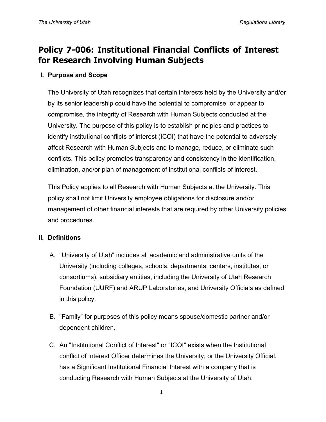# **Policy 7-006: Institutional Financial Conflicts of Interest for Research Involving Human Subjects**

## **I. Purpose and Scope**

The University of Utah recognizes that certain interests held by the University and/or by its senior leadership could have the potential to compromise, or appear to compromise, the integrity of Research with Human Subjects conducted at the University. The purpose of this policy is to establish principles and practices to identify institutional conflicts of interest (ICOI) that have the potential to adversely affect Research with Human Subjects and to manage, reduce, or eliminate such conflicts. This policy promotes transparency and consistency in the identification, elimination, and/or plan of management of institutional conflicts of interest.

This Policy applies to all Research with Human Subjects at the University. This policy shall not limit University employee obligations for disclosure and/or management of other financial interests that are required by other University policies and procedures.

### **II. Definitions**

- A. "University of Utah" includes all academic and administrative units of the University (including colleges, schools, departments, centers, institutes, or consortiums), subsidiary entities, including the University of Utah Research Foundation (UURF) and ARUP Laboratories, and University Officials as defined in this policy.
- B. "Family" for purposes of this policy means spouse/domestic partner and/or dependent children.
- C. An "Institutional Conflict of Interest" or "ICOI" exists when the Institutional conflict of Interest Officer determines the University, or the University Official, has a Significant Institutional Financial Interest with a company that is conducting Research with Human Subjects at the University of Utah.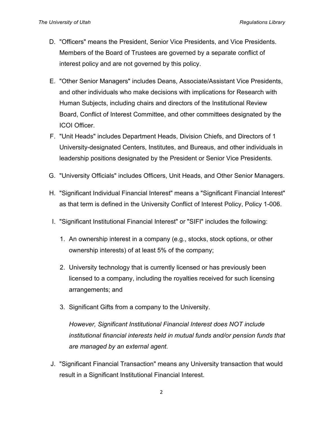- D. "Officers" means the President, Senior Vice Presidents, and Vice Presidents. Members of the Board of Trustees are governed by a separate conflict of interest policy and are not governed by this policy.
- E. "Other Senior Managers" includes Deans, Associate/Assistant Vice Presidents, and other individuals who make decisions with implications for Research with Human Subjects, including chairs and directors of the Institutional Review Board, Conflict of Interest Committee, and other committees designated by the ICOI Officer.
- F. "Unit Heads" includes Department Heads, Division Chiefs, and Directors of 1 University-designated Centers, Institutes, and Bureaus, and other individuals in leadership positions designated by the President or Senior Vice Presidents.
- G. "University Officials" includes Officers, Unit Heads, and Other Senior Managers.
- H. "Significant Individual Financial Interest" means a "Significant Financial Interest" as that term is defined in the University Conflict of Interest Policy, Policy 1-006.
- I. "Significant Institutional Financial Interest" or "SIFI" includes the following:
	- 1. An ownership interest in a company (e.g., stocks, stock options, or other ownership interests) of at least 5% of the company;
	- 2. University technology that is currently licensed or has previously been licensed to a company, including the royalties received for such licensing arrangements; and
	- 3. Significant Gifts from a company to the University.

*However, Significant Institutional Financial Interest does NOT include institutional financial interests held in mutual funds and/or pension funds that are managed by an external agent.*

J. "Significant Financial Transaction" means any University transaction that would result in a Significant Institutional Financial Interest.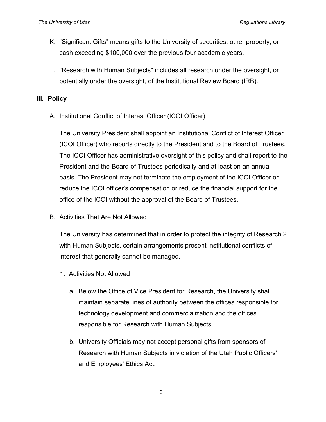- K. "Significant Gifts" means gifts to the University of securities, other property, or cash exceeding \$100,000 over the previous four academic years.
- L. "Research with Human Subjects" includes all research under the oversight, or potentially under the oversight, of the Institutional Review Board (IRB).

### **III. Policy**

A. Institutional Conflict of Interest Officer (ICOI Officer)

The University President shall appoint an Institutional Conflict of Interest Officer (ICOI Officer) who reports directly to the President and to the Board of Trustees. The ICOI Officer has administrative oversight of this policy and shall report to the President and the Board of Trustees periodically and at least on an annual basis. The President may not terminate the employment of the ICOI Officer or reduce the ICOI officer's compensation or reduce the financial support for the office of the ICOI without the approval of the Board of Trustees.

B. Activities That Are Not Allowed

The University has determined that in order to protect the integrity of Research 2 with Human Subjects, certain arrangements present institutional conflicts of interest that generally cannot be managed.

- 1. Activities Not Allowed
	- a. Below the Office of Vice President for Research, the University shall maintain separate lines of authority between the offices responsible for technology development and commercialization and the offices responsible for Research with Human Subjects.
	- b. University Officials may not accept personal gifts from sponsors of Research with Human Subjects in violation of the Utah Public Officers' and Employees' Ethics Act.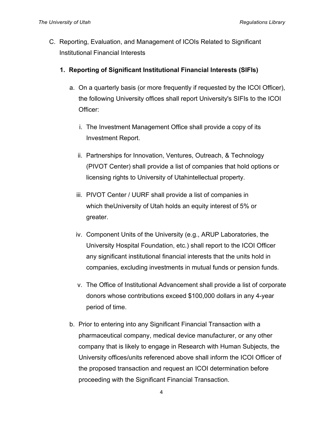- C. Reporting, Evaluation, and Management of ICOIs Related to Significant Institutional Financial Interests
	- **1. Reporting of Significant Institutional Financial Interests (SIFIs)**
		- a. On a quarterly basis (or more frequently if requested by the ICOI Officer), the following University offices shall report University's SIFIs to the ICOI Officer:
			- i. The Investment Management Office shall provide a copy of its Investment Report.
			- ii. Partnerships for Innovation, Ventures, Outreach, & Technology (PIVOT Center) shall provide a list of companies that hold options or licensing rights to University of Utahintellectual property.
			- iii. PIVOT Center / UURF shall provide a list of companies in which theUniversity of Utah holds an equity interest of 5% or greater.
			- iv. Component Units of the University (e.g., ARUP Laboratories, the University Hospital Foundation, etc.) shall report to the ICOI Officer any significant institutional financial interests that the units hold in companies, excluding investments in mutual funds or pension funds.
			- v. The Office of Institutional Advancement shall provide a list of corporate donors whose contributions exceed \$100,000 dollars in any 4-year period of time.
		- b. Prior to entering into any Significant Financial Transaction with a pharmaceutical company, medical device manufacturer, or any other company that is likely to engage in Research with Human Subjects, the University offices/units referenced above shall inform the ICOI Officer of the proposed transaction and request an ICOI determination before proceeding with the Significant Financial Transaction.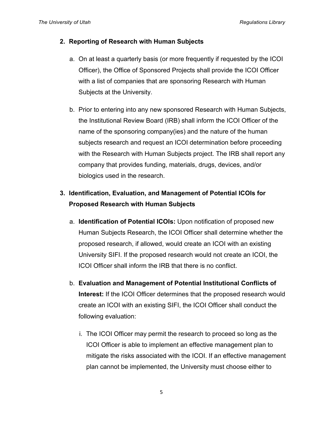#### **2. Reporting of Research with Human Subjects**

- a. On at least a quarterly basis (or more frequently if requested by the ICOI Officer), the Office of Sponsored Projects shall provide the ICOI Officer with a list of companies that are sponsoring Research with Human Subjects at the University.
- b. Prior to entering into any new sponsored Research with Human Subjects, the Institutional Review Board (IRB) shall inform the ICOI Officer of the name of the sponsoring company(ies) and the nature of the human subjects research and request an ICOI determination before proceeding with the Research with Human Subjects project. The IRB shall report any company that provides funding, materials, drugs, devices, and/or biologics used in the research.

## **3. Identification, Evaluation, and Management of Potential ICOIs for Proposed Research with Human Subjects**

- a. **Identification of Potential ICOIs:** Upon notification of proposed new Human Subjects Research, the ICOI Officer shall determine whether the proposed research, if allowed, would create an ICOI with an existing University SIFI. If the proposed research would not create an ICOI, the ICOI Officer shall inform the IRB that there is no conflict.
- b. **Evaluation and Management of Potential Institutional Conflicts of Interest:** If the ICOI Officer determines that the proposed research would create an ICOI with an existing SIFI, the ICOI Officer shall conduct the following evaluation:
	- i. The ICOI Officer may permit the research to proceed so long as the ICOI Officer is able to implement an effective management plan to mitigate the risks associated with the ICOI. If an effective management plan cannot be implemented, the University must choose either to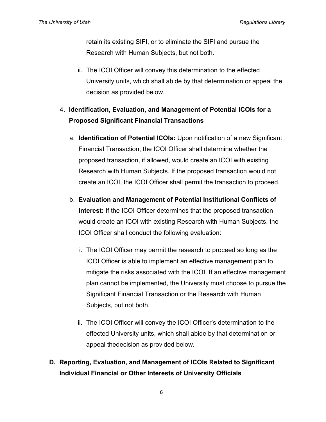retain its existing SIFI, or to eliminate the SIFI and pursue the Research with Human Subjects, but not both.

ii. The ICOI Officer will convey this determination to the effected University units, which shall abide by that determination or appeal the decision as provided below.

## 4. **Identification, Evaluation, and Management of Potential ICOIs for a Proposed Significant Financial Transactions**

- a. **Identification of Potential ICOIs:** Upon notification of a new Significant Financial Transaction, the ICOI Officer shall determine whether the proposed transaction, if allowed, would create an ICOI with existing Research with Human Subjects. If the proposed transaction would not create an ICOI, the ICOI Officer shall permit the transaction to proceed.
- b. **Evaluation and Management of Potential Institutional Conflicts of Interest:** If the ICOI Officer determines that the proposed transaction would create an ICOI with existing Research with Human Subjects, the ICOI Officer shall conduct the following evaluation:
	- i. The ICOI Officer may permit the research to proceed so long as the ICOI Officer is able to implement an effective management plan to mitigate the risks associated with the ICOI. If an effective management plan cannot be implemented, the University must choose to pursue the Significant Financial Transaction or the Research with Human Subjects, but not both.
	- ii. The ICOI Officer will convey the ICOI Officer's determination to the effected University units, which shall abide by that determination or appeal thedecision as provided below.
- **D. Reporting, Evaluation, and Management of ICOIs Related to Significant Individual Financial or Other Interests of University Officials**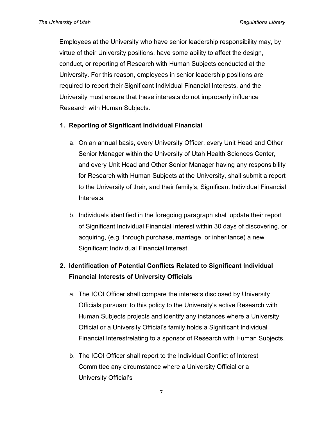Employees at the University who have senior leadership responsibility may, by virtue of their University positions, have some ability to affect the design, conduct, or reporting of Research with Human Subjects conducted at the University. For this reason, employees in senior leadership positions are required to report their Significant Individual Financial Interests, and the University must ensure that these interests do not improperly influence Research with Human Subjects.

## **1. Reporting of Significant Individual Financial**

- a. On an annual basis, every University Officer, every Unit Head and Other Senior Manager within the University of Utah Health Sciences Center, and every Unit Head and Other Senior Manager having any responsibility for Research with Human Subjects at the University, shall submit a report to the University of their, and their family's, Significant Individual Financial Interests.
- b. Individuals identified in the foregoing paragraph shall update their report of Significant Individual Financial Interest within 30 days of discovering, or acquiring, (e.g. through purchase, marriage, or inheritance) a new Significant Individual Financial Interest.

## **2. Identification of Potential Conflicts Related to Significant Individual Financial Interests of University Officials**

- a. The ICOI Officer shall compare the interests disclosed by University Officials pursuant to this policy to the University's active Research with Human Subjects projects and identify any instances where a University Official or a University Official's family holds a Significant Individual Financial Interestrelating to a sponsor of Research with Human Subjects.
- b. The ICOI Officer shall report to the Individual Conflict of Interest Committee any circumstance where a University Official or a University Official's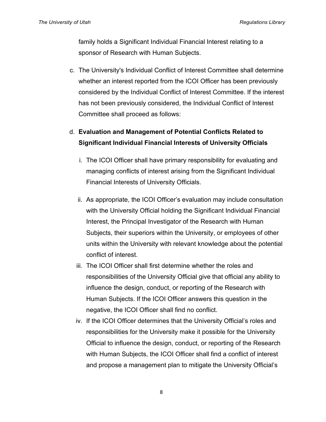family holds a Significant Individual Financial Interest relating to a sponsor of Research with Human Subjects.

c. The University's Individual Conflict of Interest Committee shall determine whether an interest reported from the ICOI Officer has been previously considered by the Individual Conflict of Interest Committee. If the interest has not been previously considered, the Individual Conflict of Interest Committee shall proceed as follows:

## d. **Evaluation and Management of Potential Conflicts Related to Significant Individual Financial Interests of University Officials**

- i. The ICOI Officer shall have primary responsibility for evaluating and managing conflicts of interest arising from the Significant Individual Financial Interests of University Officials.
- ii. As appropriate, the ICOI Officer's evaluation may include consultation with the University Official holding the Significant Individual Financial Interest, the Principal Investigator of the Research with Human Subjects, their superiors within the University, or employees of other units within the University with relevant knowledge about the potential conflict of interest.
- iii. The ICOI Officer shall first determine whether the roles and responsibilities of the University Official give that official any ability to influence the design, conduct, or reporting of the Research with Human Subjects. If the ICOI Officer answers this question in the negative, the ICOI Officer shall find no conflict.
- iv. If the ICOI Officer determines that the University Official's roles and responsibilities for the University make it possible for the University Official to influence the design, conduct, or reporting of the Research with Human Subjects, the ICOI Officer shall find a conflict of interest and propose a management plan to mitigate the University Official's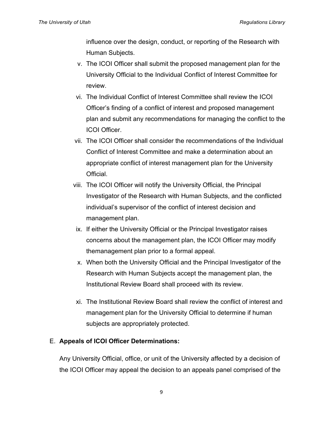influence over the design, conduct, or reporting of the Research with Human Subjects.

- v. The ICOI Officer shall submit the proposed management plan for the University Official to the Individual Conflict of Interest Committee for review.
- vi. The Individual Conflict of Interest Committee shall review the ICOI Officer's finding of a conflict of interest and proposed management plan and submit any recommendations for managing the conflict to the ICOI Officer.
- vii. The ICOI Officer shall consider the recommendations of the Individual Conflict of Interest Committee and make a determination about an appropriate conflict of interest management plan for the University Official.
- viii. The ICOI Officer will notify the University Official, the Principal Investigator of the Research with Human Subjects, and the conflicted individual's supervisor of the conflict of interest decision and management plan.
- ix. If either the University Official or the Principal Investigator raises concerns about the management plan, the ICOI Officer may modify themanagement plan prior to a formal appeal.
- x. When both the University Official and the Principal Investigator of the Research with Human Subjects accept the management plan, the Institutional Review Board shall proceed with its review.
- xi. The Institutional Review Board shall review the conflict of interest and management plan for the University Official to determine if human subjects are appropriately protected.

### E. **Appeals of ICOI Officer Determinations:**

Any University Official, office, or unit of the University affected by a decision of the ICOI Officer may appeal the decision to an appeals panel comprised of the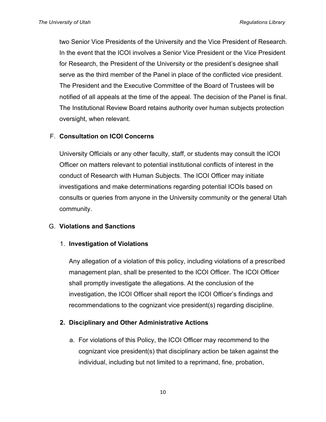two Senior Vice Presidents of the University and the Vice President of Research. In the event that the ICOI involves a Senior Vice President or the Vice President for Research, the President of the University or the president's designee shall serve as the third member of the Panel in place of the conflicted vice president. The President and the Executive Committee of the Board of Trustees will be notified of all appeals at the time of the appeal. The decision of the Panel is final. The Institutional Review Board retains authority over human subjects protection oversight, when relevant.

#### F. **Consultation on ICOI Concerns**

University Officials or any other faculty, staff, or students may consult the ICOI Officer on matters relevant to potential institutional conflicts of interest in the conduct of Research with Human Subjects. The ICOI Officer may initiate investigations and make determinations regarding potential ICOIs based on consults or queries from anyone in the University community or the general Utah community.

#### G. **Violations and Sanctions**

#### 1. **Investigation of Violations**

Any allegation of a violation of this policy, including violations of a prescribed management plan, shall be presented to the ICOI Officer. The ICOI Officer shall promptly investigate the allegations. At the conclusion of the investigation, the ICOI Officer shall report the ICOI Officer's findings and recommendations to the cognizant vice president(s) regarding discipline.

#### **2. Disciplinary and Other Administrative Actions**

a. For violations of this Policy, the ICOI Officer may recommend to the cognizant vice president(s) that disciplinary action be taken against the individual, including but not limited to a reprimand, fine, probation,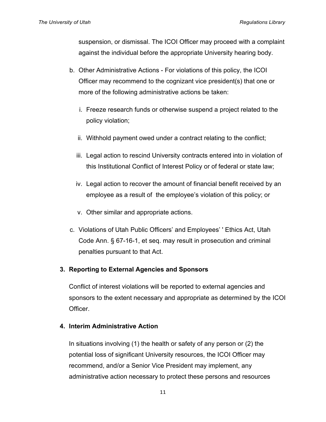suspension, or dismissal. The ICOI Officer may proceed with a complaint against the individual before the appropriate University hearing body.

- b. Other Administrative Actions For violations of this policy, the ICOI Officer may recommend to the cognizant vice president(s) that one or more of the following administrative actions be taken:
	- i. Freeze research funds or otherwise suspend a project related to the policy violation;
	- ii. Withhold payment owed under a contract relating to the conflict;
	- iii. Legal action to rescind University contracts entered into in violation of this Institutional Conflict of Interest Policy or of federal or state law;
	- iv. Legal action to recover the amount of financial benefit received by an employee as a result of the employee's violation of this policy; or
	- v. Other similar and appropriate actions.
- c. Violations of Utah Public Officers' and Employees' ' Ethics Act, Utah Code Ann. § 67-16-1, et seq. may result in prosecution and criminal penalties pursuant to that Act.

#### **3. Reporting to External Agencies and Sponsors**

Conflict of interest violations will be reported to external agencies and sponsors to the extent necessary and appropriate as determined by the ICOI Officer.

#### **4. Interim Administrative Action**

In situations involving (1) the health or safety of any person or (2) the potential loss of significant University resources, the ICOI Officer may recommend, and/or a Senior Vice President may implement, any administrative action necessary to protect these persons and resources

11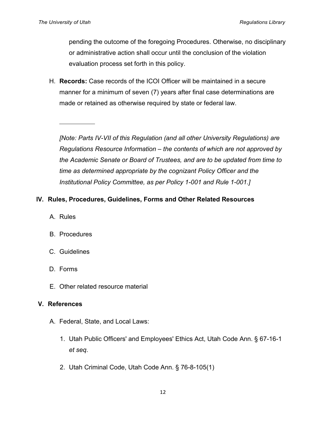pending the outcome of the foregoing Procedures. Otherwise, no disciplinary or administrative action shall occur until the conclusion of the violation evaluation process set forth in this policy.

H. **Records:** Case records of the ICOI Officer will be maintained in a secure manner for a minimum of seven (7) years after final case determinations are made or retained as otherwise required by state or federal law.

*[Note: Parts IV-VII of this Regulation (and all other University Regulations) are Regulations Resource Information – the contents of which are not approved by the Academic Senate or Board of Trustees, and are to be updated from time to time as determined appropriate by the cognizant Policy Officer and the Institutional Policy Committee, as per Policy 1-001 and Rule 1-001.]*

## **IV. Rules, Procedures, Guidelines, Forms and Other Related Resources**

- A. Rules
- B. Procedures
- C. Guidelines
- D. Forms
- E. Other related resource material

#### **V. References**

- A. Federal, State, and Local Laws:
	- 1. Utah Public Officers' and Employees' Ethics Act, Utah Code Ann. § 67-16-1 *et seq*.
	- 2. Utah Criminal Code, Utah Code Ann. § 76-8-105(1)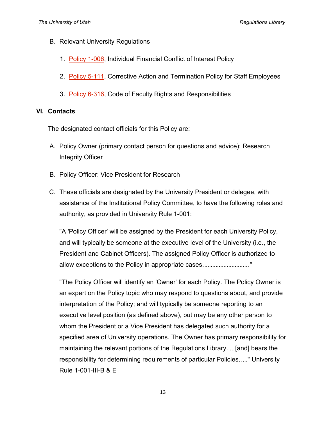- B. Relevant University Regulations
	- 1. Policy 1-006, Individual Financial Conflict of Interest Policy
	- 2. Policy 5-111, Corrective Action and Termination Policy for Staff Employees
	- 3. Policy 6-316, Code of Faculty Rights and Responsibilities

### **VI. Contacts**

The designated contact officials for this Policy are:

- A. Policy Owner (primary contact person for questions and advice): Research Integrity Officer
- B. Policy Officer: Vice President for Research
- C. These officials are designated by the University President or delegee, with assistance of the Institutional Policy Committee, to have the following roles and authority, as provided in University Rule 1-001:

"A 'Policy Officer' will be assigned by the President for each University Policy, and will typically be someone at the executive level of the University (i.e., the President and Cabinet Officers). The assigned Policy Officer is authorized to allow exceptions to the Policy in appropriate cases.............................."

"The Policy Officer will identify an 'Owner' for each Policy. The Policy Owner is an expert on the Policy topic who may respond to questions about, and provide interpretation of the Policy; and will typically be someone reporting to an executive level position (as defined above), but may be any other person to whom the President or a Vice President has delegated such authority for a specified area of University operations. The Owner has primary responsibility for maintaining the relevant portions of the Regulations Library.....[and] bears the responsibility for determining requirements of particular Policies....." University Rule 1-001-III-B & E